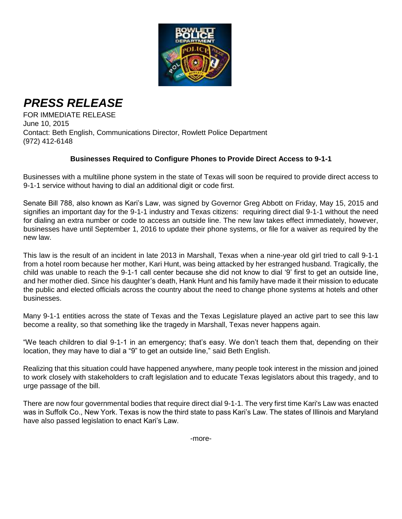

## *PRESS RELEASE*

FOR IMMEDIATE RELEASE June 10, 2015 Contact: Beth English, Communications Director, Rowlett Police Department (972) 412-6148

## **Businesses Required to Configure Phones to Provide Direct Access to 9-1-1**

Businesses with a multiline phone system in the state of Texas will soon be required to provide direct access to 9-1-1 service without having to dial an additional digit or code first.

Senate Bill 788, also known as Kari's Law, was signed by Governor Greg Abbott on Friday, May 15, 2015 and signifies an important day for the 9-1-1 industry and Texas citizens: requiring direct dial 9-1-1 without the need for dialing an extra number or code to access an outside line. The new law takes effect immediately, however, businesses have until September 1, 2016 to update their phone systems, or file for a waiver as required by the new law.

This law is the result of an incident in late 2013 in Marshall, Texas when a nine-year old girl tried to call 9-1-1 from a hotel room because her mother, Kari Hunt, was being attacked by her estranged husband. Tragically, the child was unable to reach the 9-1-1 call center because she did not know to dial '9' first to get an outside line, and her mother died. Since his daughter's death, Hank Hunt and his family have made it their mission to educate the public and elected officials across the country about the need to change phone systems at hotels and other businesses.

Many 9-1-1 entities across the state of Texas and the Texas Legislature played an active part to see this law become a reality, so that something like the tragedy in Marshall, Texas never happens again.

"We teach children to dial 9-1-1 in an emergency; that's easy. We don't teach them that, depending on their location, they may have to dial a "9" to get an outside line," said Beth English.

Realizing that this situation could have happened anywhere, many people took interest in the mission and joined to work closely with stakeholders to craft legislation and to educate Texas legislators about this tragedy, and to urge passage of the bill.

There are now four governmental bodies that require direct dial 9-1-1. The very first time Kari's Law was enacted was in Suffolk Co., New York. Texas is now the third state to pass Kari's Law. The states of Illinois and Maryland have also passed legislation to enact Kari's Law.

-more-